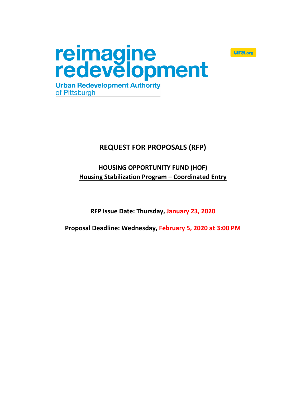

# **REQUEST FOR PROPOSALS (RFP)**

**ura.org** 

# **HOUSING OPPORTUNITY FUND (HOF) Housing Stabilization Program – Coordinated Entry**

**RFP Issue Date: Thursday, January 23, 2020**

**Proposal Deadline: Wednesday, February 5, 2020 at 3:00 PM**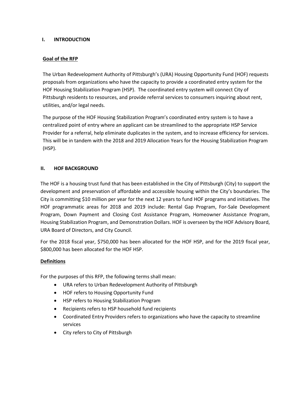#### **I. INTRODUCTION**

### **Goal of the RFP**

The Urban Redevelopment Authority of Pittsburgh's (URA) Housing Opportunity Fund (HOF) requests proposals from organizations who have the capacity to provide a coordinated entry system for the HOF Housing Stabilization Program (HSP). The coordinated entry system will connect City of Pittsburgh residents to resources, and provide referral services to consumers inquiring about rent, utilities, and/or legal needs.

The purpose of the HOF Housing Stabilization Program's coordinated entry system is to have a centralized point of entry where an applicant can be streamlined to the appropriate HSP Service Provider for a referral, help eliminate duplicates in the system, and to increase efficiency for services. This will be in tandem with the 2018 and 2019 Allocation Years for the Housing Stabilization Program (HSP).

#### **II. HOF BACKGROUND**

The HOF is a housing trust fund that has been established in the City of Pittsburgh (City) to support the development and preservation of affordable and accessible housing within the City's boundaries. The City is committing \$10 million per year for the next 12 years to fund HOF programs and initiatives. The HOF programmatic areas for 2018 and 2019 include: Rental Gap Program, For-Sale Development Program, Down Payment and Closing Cost Assistance Program, Homeowner Assistance Program, Housing Stabilization Program, and Demonstration Dollars. HOF is overseen by the HOF Advisory Board, URA Board of Directors, and City Council.

For the 2018 fiscal year, \$750,000 has been allocated for the HOF HSP, and for the 2019 fiscal year, \$800,000 has been allocated for the HOF HSP.

#### **Definitions**

For the purposes of this RFP, the following terms shall mean:

- URA refers to Urban Redevelopment Authority of Pittsburgh
- HOF refers to Housing Opportunity Fund
- HSP refers to Housing Stabilization Program
- Recipients refers to HSP household fund recipients
- Coordinated Entry Providers refers to organizations who have the capacity to streamline services
- City refers to City of Pittsburgh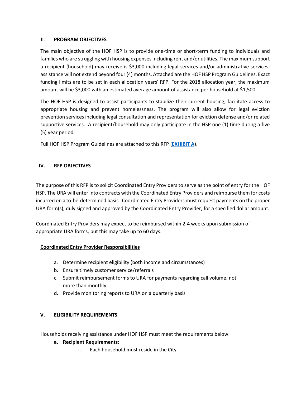#### III. **PROGRAM OBJECTIVES**

The main objective of the HOF HSP is to provide one-time or short-term funding to individuals and families who are struggling with housing expenses including rent and/or utilities. The maximum support a recipient (household) may receive is \$3,000 including legal services and/or administrative services; assistance will not extend beyond four (4) months. Attached are the HOF HSP Program Guidelines. Exact funding limits are to be set in each allocation years' RFP. For the 2018 allocation year, the maximum amount will be \$3,000 with an estimated average amount of assistance per household at \$1,500.

The HOF HSP is designed to assist participants to stabilize their current housing, facilitate access to appropriate housing and prevent homelessness. The program will also allow for legal eviction prevention services including legal consultation and representation for eviction defense and/or related supportive services. A recipient/household may only participate in the HSP one (1) time during a five (5) year period.

Full HOF HSP Program Guidelines are attached to this RFP (**[EXHIBIT A](https://www.ura.org/media/W1siZiIsIjIwMTkvMDEvMTgvOWc0NmNrMWZzZ19FeGhpYml0X0FfSFNQX1Byb2dyYW1fR3VpZGVsaW5lcy5wZGYiXV0/Exhibit%20A%20-%20HSP%20Program%20Guidelines.pdf)**).

#### **IV. RFP OBJECTIVES**

The purpose of this RFP is to solicit Coordinated Entry Providers to serve as the point of entry for the HOF HSP. The URA will enter into contracts with the Coordinated Entry Providers and reimburse them for costs incurred on a to-be-determined basis. Coordinated Entry Providers must request payments on the proper URA form(s), duly signed and approved by the Coordinated Entry Provider, for a specified dollar amount.

Coordinated Entry Providers may expect to be reimbursed within 2-4 weeks upon submission of appropriate URA forms, but this may take up to 60 days.

#### **Coordinated Entry Provider Responsibilities**

- a. Determine recipient eligibility (both income and circumstances)
- b. Ensure timely customer service/referrals
- c. Submit reimbursement forms to URA for payments regarding call volume, not more than monthly
- d. Provide monitoring reports to URA on a quarterly basis

## **V. ELIGIBILITY REQUIREMENTS**

Households receiving assistance under HOF HSP must meet the requirements below:

#### **a. Recipient Requirements:**

i. Each household must reside in the City.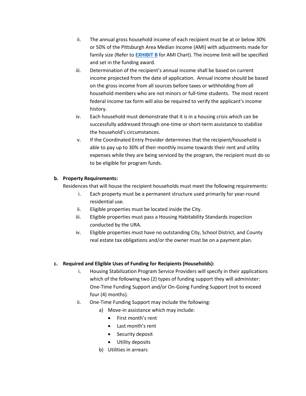- ii. The annual gross household income of each recipient must be at or below 30% or 50% of the Pittsburgh Area Median Income (AMI) with adjustments made for family size (Refer to **[EXHIBIT](https://www.ura.org/media/W1siZiIsIjIwMjAvMDEvMjMvNW5lM29iYnoyZl9FeGhpYml0X0JfMjAxOV9QaXR0c2J1cmdoX0FyZWFfTWVkaWFuX0luY29tZV9MaW1pdHMuSlBHIl1d/Exhibit%20B%20-%202019%20Pittsburgh%20Area%20Median%20Income%20Limits.JPG) B** for AMI Chart). The income limit will be specified and set in the funding award.
- iii. Determination of the recipient's annual income shall be based on current income projected from the date of application. Annual income should be based on the gross income from all sources before taxes or withholding from all household members who are not minors or full-time students. The most recent federal income tax form will also be required to verify the applicant's income history.
- iv. Each household must demonstrate that it is in a housing crisis which can be successfully addressed through one-time or short-term assistance to stabilize the household's circumstances.
- v. If the Coordinated Entry Provider determines that the recipient/household is able to pay up to 30% of their monthly income towards their rent and utility expenses while they are being serviced by the program, the recipient must do so to be eligible for program funds.

## **b. Property Requirements:**

Residences that will house the recipient households must meet the following requirements:

- i. Each property must be a permanent structure used primarily for year-round residential use.
- ii. Eligible properties must be located inside the City.
- iii. Eligible properties must pass a Housing Habitability Standards inspection conducted by the URA.
- iv. Eligible properties must have no outstanding City, School District, and County real estate tax obligations and/or the owner must be on a payment plan.

# **c. Required and Eligible Uses of Funding for Recipients (Households):**

- i. Housing Stabilization Program Service Providers will specify in their applications which of the following two (2) types of funding support they will administer: One-Time Funding Support and/or On-Going Funding Support (not to exceed four (4) months).
- ii. One-Time Funding Support may include the following:
	- a) Move-in assistance which may include:
		- First month's rent
		- Last month's rent
		- Security deposit
		- Utility deposits
	- b) Utilities in arrears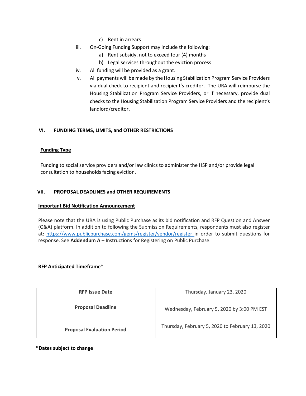- c) Rent in arrears
- iii. On-Going Funding Support may include the following:
	- a) Rent subsidy, not to exceed four (4) months
	- b) Legal services throughout the eviction process
- iv. All funding will be provided as a grant.
- v. All payments will be made by the Housing Stabilization Program Service Providers via dual check to recipient and recipient's creditor. The URA will reimburse the Housing Stabilization Program Service Providers, or if necessary, provide dual checks to the Housing Stabilization Program Service Providers and the recipient's landlord/creditor.

#### **VI. FUNDING TERMS, LIMITS, and OTHER RESTRICTIONS**

#### **Funding Type**

Funding to social service providers and/or law clinics to administer the HSP and/or provide legal consultation to households facing eviction.

#### **VII. PROPOSAL DEADLINES and OTHER REQUIREMENTS**

#### **Important Bid Notification Announcement**

Please note that the URA is using Public Purchase as its bid notification and RFP Question and Answer (Q&A) platform. In addition to following the Submission Requirements, respondents must also register at:<https://www.publicpurchase.com/gems/register/vendor/register> in order to submit questions for response. See **Addendum A** – Instructions for Registering on Public Purchase.

#### **RFP Anticipated Timeframe\***

| <b>RFP Issue Date</b>             | Thursday, January 23, 2020                      |
|-----------------------------------|-------------------------------------------------|
| <b>Proposal Deadline</b>          | Wednesday, February 5, 2020 by 3:00 PM EST      |
| <b>Proposal Evaluation Period</b> | Thursday, February 5, 2020 to February 13, 2020 |

#### **\*Dates subject to change**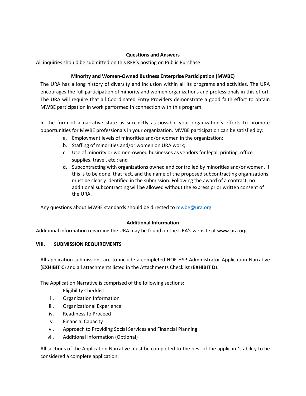#### **Questions and Answers**

All inquiries should be submitted on this RFP's posting on Public Purchase

### **Minority and Women-Owned Business Enterprise Participation (MWBE)**

The URA has a long history of diversity and inclusion within all its programs and activities. The URA encourages the full participation of minority and women organizations and professionals in this effort. The URA will require that all Coordinated Entry Providers demonstrate a good faith effort to obtain MWBE participation in work performed in connection with this program.

In the form of a narrative state as succinctly as possible your organization's efforts to promote opportunities for MWBE professionals in your organization. MWBE participation can be satisfied by:

- a. Employment levels of minorities and/or women in the organization;
- b. Staffing of minorities and/or women on URA work;
- c. Use of minority or women-owned businesses as vendors for legal, printing, office supplies, travel, etc.; and
- d. Subcontracting with organizations owned and controlled by minorities and/or women. If this is to be done, that fact, and the name of the proposed subcontracting organizations, must be clearly identified in the submission. Following the award of a contract, no additional subcontracting will be allowed without the express prior written consent of the URA.

Any questions about MWBE standards should be directed t[o mwbe@ura.org.](mailto:mwbe@ura.org)

## **Additional Information**

Additional information regarding the URA may be found on the URA's website at [www.ura.org.](http://www.ura.org/)

#### **VIII. SUBMISSION REQUIREMENTS**

All application submissions are to include a completed HOF HSP Administrator Application Narrative (**[EXHIBIT](https://www.ura.org/media/W1siZiIsIjIwMjAvMDEvMjMvM2xrbXZnOTBvZl9FeGhpYml0X0NfSFNQX0FwcGxpY2F0aW9uX05hcnJhdGl2ZV9GaWxsYWJsZV8xLnBkZiJdXQ/Exhibit%20C%20-%20HSP%20Application%20Narrative_Fillable_1.pdf) C**) and all attachments listed in the Attachments Checklist (**[EXHIBIT](https://www.ura.org/media/W1siZiIsIjIwMTkvMDEvMTgveDhlaGZrYmsyX0V4aGliaXRfRF9BdHRhY2htZW50c19DaGVja2xpc3QucGRmIl1d/Exhibit%20D%20-%20Attachments%20Checklist.pdf) D**).

The Application Narrative is comprised of the following sections:

- i. Eligibility Checklist
- ii. Organization Information
- iii. Organizational Experience
- iv. Readiness to Proceed
- v. Financial Capacity
- vi. Approach to Providing Social Services and Financial Planning
- vii. Additional Information (Optional)

All sections of the Application Narrative must be completed to the best of the applicant's ability to be considered a complete application.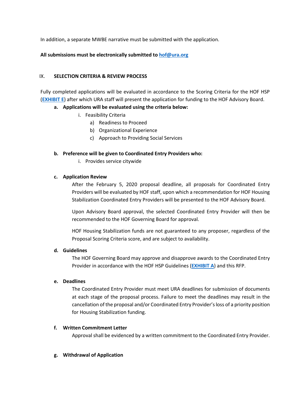In addition, a separate MWBE narrative must be submitted with the application.

#### **All submissions must be electronically submitted to [hof@ura.org](mailto:hof@ura.org)**

#### IX. **SELECTION CRITERIA & REVIEW PROCESS**

Fully completed applications will be evaluated in accordance to the Scoring Criteria for the HOF HSP (**[EXHIBIT E](https://www.ura.org/media/W1siZiIsIjIwMjAvMDEvMjMvM2ExZTdzMWN6NF9FeGhpYml0X0VfSFNQX0Nvb3JkaW5hdGVkX0VudHJ5X1Njb3JpbmdfQ3JpdGVyaWEueGxzeCJdXQ/Exhibit%20E%20-%20HSP%20Coordinated%20Entry%20Scoring%20Criteria.xlsx)**) after which URA staff will present the application for funding to the HOF Advisory Board.

#### **a. Applications will be evaluated using the criteria below:**

- i. Feasibility Criteria
	- a) Readiness to Proceed
	- b) Organizational Experience
	- c) Approach to Providing Social Services

#### **b. Preference will be given to Coordinated Entry Providers who:**

i. Provides service citywide

#### **c. Application Review**

After the February 5, 2020 proposal deadline, all proposals for Coordinated Entry Providers will be evaluated by HOF staff, upon which a recommendation for HOF Housing Stabilization Coordinated Entry Providers will be presented to the HOF Advisory Board.

Upon Advisory Board approval, the selected Coordinated Entry Provider will then be recommended to the HOF Governing Board for approval.

HOF Housing Stabilization funds are not guaranteed to any proposer, regardless of the Proposal Scoring Criteria score, and are subject to availability.

#### **d. Guidelines**

The HOF Governing Board may approve and disapprove awards to the Coordinated Entry Provider in accordance with the HOF HSP Guidelines (**[EXHIBIT A](https://www.ura.org/media/W1siZiIsIjIwMTkvMDEvMTgvOWc0NmNrMWZzZ19FeGhpYml0X0FfSFNQX1Byb2dyYW1fR3VpZGVsaW5lcy5wZGYiXV0/Exhibit%20A%20-%20HSP%20Program%20Guidelines.pdf)**) and this RFP.

#### **e. Deadlines**

The Coordinated Entry Provider must meet URA deadlines for submission of documents at each stage of the proposal process. Failure to meet the deadlines may result in the cancellation of the proposal and/or Coordinated Entry Provider's loss of a priority position for Housing Stabilization funding.

#### **f. Written Commitment Letter**

Approval shall be evidenced by a written commitment to the Coordinated Entry Provider.

#### **g. Withdrawal of Application**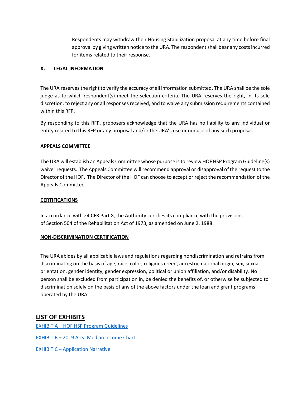Respondents may withdraw their Housing Stabilization proposal at any time before final approval by giving written notice to the URA. The respondent shall bear any costs incurred for items related to their response.

#### **X. LEGAL INFORMATION**

The URA reserves the right to verify the accuracy of all information submitted. The URA shall be the sole judge as to which respondent(s) meet the selection criteria. The URA reserves the right, in its sole discretion, to reject any or all responses received, and to waive any submission requirements contained within this RFP.

By responding to this RFP, proposers acknowledge that the URA has no liability to any individual or entity related to this RFP or any proposal and/or the URA's use or nonuse of any such proposal.

#### **APPEALS COMMITTEE**

The URA will establish an Appeals Committee whose purpose is to review HOF HSP Program Guideline(s) waiver requests. The Appeals Committee will recommend approval or disapproval of the request to the Director of the HOF. The Director of the HOF can choose to accept or reject the recommendation of the Appeals Committee.

#### **CERTIFICATIONS**

In accordance with 24 CFR Part 8, the Authority certifies its compliance with the provisions of Section 504 of the Rehabilitation Act of 1973, as amended on June 2, 1988.

#### **NON-DISCRIMINATION CERTIFICATION**

The URA abides by all applicable laws and regulations regarding nondiscrimination and refrains from discriminating on the basis of age, race, color, religious creed, ancestry, national origin, sex, sexual orientation, gender identity, gender expression, political or union affiliation, and/or disability. No person shall be excluded from participation in, be denied the benefits of, or otherwise be subjected to discrimination solely on the basis of any of the above factors under the loan and grant programs operated by the URA.

# **LIST OF EXHIBITS**

EXHIBIT A – [HOF HSP Program Guidelines](https://www.ura.org/media/W1siZiIsIjIwMTkvMDEvMTgvOWc0NmNrMWZzZ19FeGhpYml0X0FfSFNQX1Byb2dyYW1fR3VpZGVsaW5lcy5wZGYiXV0/Exhibit%20A%20-%20HSP%20Program%20Guidelines.pdf)

EXHIBIT B - 2019 [Area Median Income Chart](https://www.ura.org/media/W1siZiIsIjIwMjAvMDEvMjMvNW5lM29iYnoyZl9FeGhpYml0X0JfMjAxOV9QaXR0c2J1cmdoX0FyZWFfTWVkaWFuX0luY29tZV9MaW1pdHMuSlBHIl1d/Exhibit%20B%20-%202019%20Pittsburgh%20Area%20Median%20Income%20Limits.JPG)

EXHIBIT C – [Application Narrative](https://www.ura.org/media/W1siZiIsIjIwMjAvMDEvMjMvM2xrbXZnOTBvZl9FeGhpYml0X0NfSFNQX0FwcGxpY2F0aW9uX05hcnJhdGl2ZV9GaWxsYWJsZV8xLnBkZiJdXQ/Exhibit%20C%20-%20HSP%20Application%20Narrative_Fillable_1.pdf)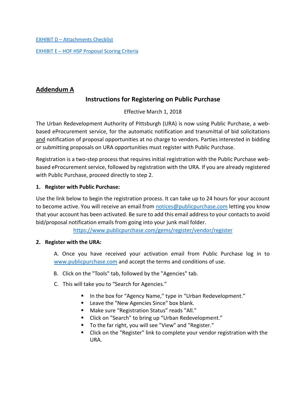EXHIBIT D – [Attachments Checklist](https://www.ura.org/media/W1siZiIsIjIwMTkvMDEvMTgveDhlaGZrYmsyX0V4aGliaXRfRF9BdHRhY2htZW50c19DaGVja2xpc3QucGRmIl1d/Exhibit%20D%20-%20Attachments%20Checklist.pdf)

EXHIBIT E – [HOF HSP Proposal Scoring](https://www.ura.org/media/W1siZiIsIjIwMjAvMDEvMjMvM2ExZTdzMWN6NF9FeGhpYml0X0VfSFNQX0Nvb3JkaW5hdGVkX0VudHJ5X1Njb3JpbmdfQ3JpdGVyaWEueGxzeCJdXQ/Exhibit%20E%20-%20HSP%20Coordinated%20Entry%20Scoring%20Criteria.xlsx) Criteria

# **Addendum A**

# **Instructions for Registering on Public Purchase**

Effective March 1, 2018

The Urban Redevelopment Authority of Pittsburgh (URA) is now using Public Purchase, a webbased eProcurement service, for the automatic notification and transmittal of bid solicitations and notification of proposal opportunities at no charge to vendors. Parties interested in bidding or submitting proposals on URA opportunities must register with Public Purchase.

Registration is a two-step process that requires initial registration with the Public Purchase webbased eProcurement service, followed by registration with the URA. If you are already registered with Public Purchase, proceed directly to step 2.

## **1. Register with Public Purchase:**

Use the link below to begin the registration process. It can take up to 24 hours for your account to become active. You will receive an email from [notices@publicpurchase.com](mailto:notices@publicpurchase.com) letting you know that your account has been activated. Be sure to add this email address to your contacts to avoid bid/proposal notification emails from going into your junk mail folder.

<https://www.publicpurchase.com/gems/register/vendor/register>

# **2. Register with the URA:**

A. Once you have received your activation email from Public Purchase log in to [www.publicpurchase.com](http://www.publicpurchase.com/) and accept the terms and conditions of use.

- B. Click on the "Tools" tab, followed by the "Agencies" tab.
- C. This will take you to "Search for Agencies."
	- In the box for "Agency Name," type in "Urban Redevelopment."
	- Leave the "New Agencies Since" box blank.
	- Make sure "Registration Status" reads "All."
	- Click on "Search" to bring up "Urban Redevelopment."
	- To the far right, you will see "View" and "Register."
	- Click on the "Register" link to complete your vendor registration with the URA.